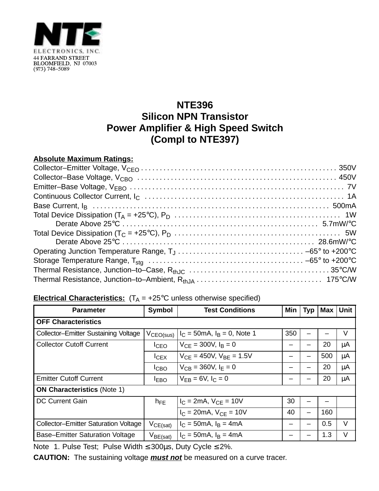

## **NTE396 Silicon NPN Transistor Power Amplifier & High Speed Switch (Compl to NTE397)**

## **Absolute Maximum Ratings:**

| Operating Junction Temperature Range, $T_J \ldots \ldots \ldots \ldots \ldots \ldots \ldots \ldots \ldots \ldots \ldots \ldots \sim -65^\circ$ to +200 °C |  |
|-----------------------------------------------------------------------------------------------------------------------------------------------------------|--|
|                                                                                                                                                           |  |
|                                                                                                                                                           |  |
|                                                                                                                                                           |  |

## **Electrical Characteristics:**  $(T_A = +25^\circ C$  unless otherwise specified)

| <b>Parameter</b>                            | Symbol                | <b>Test Conditions</b>                  | Min | Typ                      | <b>Max</b> | <b>Unit</b> |  |  |  |
|---------------------------------------------|-----------------------|-----------------------------------------|-----|--------------------------|------------|-------------|--|--|--|
| <b>OFF Characteristics</b>                  |                       |                                         |     |                          |            |             |  |  |  |
| <b>Collector-Emitter Sustaining Voltage</b> | V <sub>CEO(sus)</sub> | $I_C = 50 \text{mA}, I_B = 0$ , Note 1  | 350 |                          |            | V           |  |  |  |
| <b>Collector Cutoff Current</b>             | I <sub>CEO</sub>      | $V_{CF} = 300V, I_B = 0$                |     |                          | 20         | μA          |  |  |  |
|                                             | $I_{CEX}$             | $V_{CF}$ = 450V, $V_{BF}$ = 1.5V        |     |                          | 500        | μA          |  |  |  |
|                                             | ICBO                  | $V_{CB} = 360V, I_F = 0$                |     |                          | 20         | μA          |  |  |  |
| <b>Emitter Cutoff Current</b>               | <b>IEBO</b>           | $V_{FR} = 6V, I_C = 0$                  |     |                          | 20         | μA          |  |  |  |
| <b>ON Characteristics (Note 1)</b>          |                       |                                         |     |                          |            |             |  |  |  |
| <b>DC Current Gain</b>                      | $h_{\sf FE}$          | $I_C = 2mA$ , $V_{CE} = 10V$            | 30  |                          |            |             |  |  |  |
|                                             |                       | $I_C = 20mA$ , $V_{CE} = 10V$           | 40  | $\overline{\phantom{0}}$ | 160        |             |  |  |  |
| <b>Collector-Emitter Saturation Voltage</b> | $V_{CE(sat)}$         | $I_C = 50 \text{mA}, I_B = 4 \text{mA}$ |     |                          | 0.5        | V           |  |  |  |
| <b>Base-Emitter Saturation Voltage</b>      | $V_{BE(sat)}$         | $I_C = 50 \text{mA}, I_B = 4 \text{mA}$ |     |                          | 1.3        | V           |  |  |  |

Note 1. Pulse Test; Pulse Width ≤ 300µs, Duty Cycle ≤ 2%.

**CAUTION:** The sustaining voltage **must not** be measured on a curve tracer.